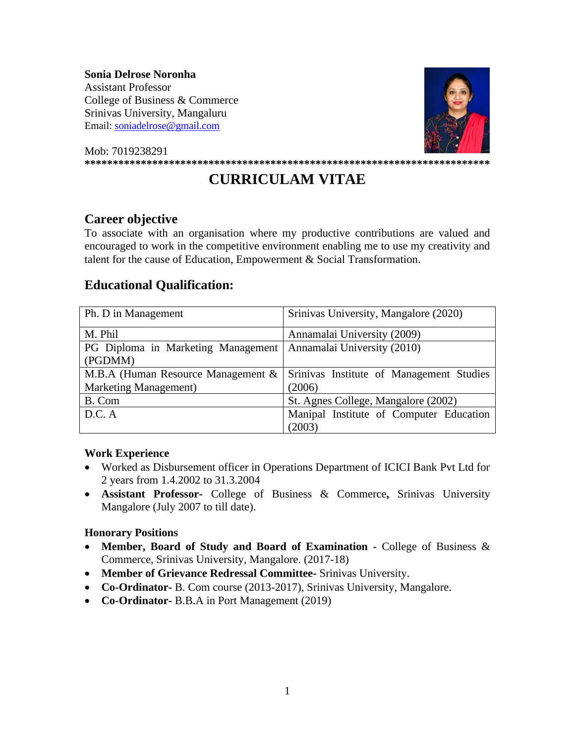**Sonia Delrose Noronha**  Assistant Professor

College of Business & Commerce Srinivas University, Mangaluru Email: [soniadelrose@gmail.com](mailto:soniadelrose@gmail.com) 





# **CURRICULAM VITAE**

## **Career objective**

To associate with an organisation where my productive contributions are valued and encouraged to work in the competitive environment enabling me to use my creativity and talent for the cause of Education, Empowerment & Social Transformation.

# **Educational Qualification:**

| Ph. D in Management                | Srinivas University, Mangalore (2020)    |
|------------------------------------|------------------------------------------|
| M. Phil                            | Annamalai University (2009)              |
| PG Diploma in Marketing Management | Annamalai University (2010)              |
| (PGDMM)                            |                                          |
| M.B.A (Human Resource Management & | Srinivas Institute of Management Studies |
| <b>Marketing Management</b> )      | (2006)                                   |
| B. Com                             | St. Agnes College, Mangalore (2002)      |
| D.C. A                             | Manipal Institute of Computer Education  |
|                                    | (2003)                                   |

## **Work Experience**

- Worked as Disbursement officer in Operations Department of ICICI Bank Pvt Ltd for 2 years from 1.4.2002 to 31.3.2004
- **Assistant Professor-** College of Business & Commerce**,** Srinivas University Mangalore (July 2007 to till date).

## **Honorary Positions**

- **Member, Board of Study and Board of Examination -** College of Business & Commerce, Srinivas University, Mangalore. (2017-18)
- **Member of Grievance Redressal Committee-** Srinivas University.
- **Co-Ordinator-** B. Com course (2013-2017), Srinivas University, Mangalore.
- **Co-Ordinator-** B.B.A in Port Management (2019)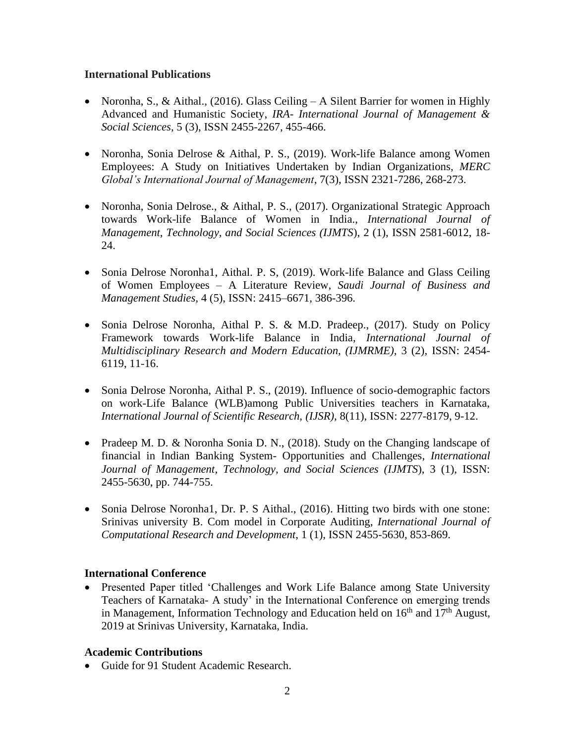## **International Publications**

- Noronha, S., & Aithal., (2016). Glass Ceiling A Silent Barrier for women in Highly Advanced and Humanistic Society, *IRA- International Journal of Management & Social Sciences*, 5 (3), ISSN 2455-2267, 455-466.
- Noronha, Sonia Delrose & Aithal, P. S., (2019). Work-life Balance among Women Employees: A Study on Initiatives Undertaken by Indian Organizations, *MERC Global's International Journal of Management*, 7(3), ISSN 2321-7286, 268-273.
- Noronha, Sonia Delrose., & Aithal, P. S., (2017). Organizational Strategic Approach towards Work-life Balance of Women in India., *International Journal of Management, Technology, and Social Sciences (IJMTS*), 2 (1), ISSN 2581-6012, 18- 24.
- Sonia Delrose Noronha1, Aithal. P. S, (2019). Work-life Balance and Glass Ceiling of Women Employees – A Literature Review*, Saudi Journal of Business and Management Studies,* 4 (5), ISSN: 2415–6671, 386-396.
- Sonia Delrose Noronha, Aithal P. S. & M.D. Pradeep., (2017). Study on Policy Framework towards Work-life Balance in India, *International Journal of Multidisciplinary Research and Modern Education, (IJMRME),* 3 (2), ISSN: 2454- 6119, 11-16.
- Sonia Delrose Noronha, Aithal P. S., (2019). Influence of socio-demographic factors on work-Life Balance (WLB)among Public Universities teachers in Karnataka, *International Journal of Scientific Research, (IJSR),* 8(11), ISSN: 2277-8179, 9-12.
- Pradeep M. D. & Noronha Sonia D. N., (2018). Study on the Changing landscape of financial in Indian Banking System- Opportunities and Challenges, *International Journal of Management, Technology, and Social Sciences (IJMTS*)*,* 3 (1), ISSN: 2455-5630, pp. 744-755.
- Sonia Delrose Noronha1, Dr. P. S Aithal., (2016). Hitting two birds with one stone: Srinivas university B. Com model in Corporate Auditing, *International Journal of Computational Research and Development*, 1 (1), ISSN 2455-5630, 853-869.

## **International Conference**

• Presented Paper titled 'Challenges and Work Life Balance among State University Teachers of Karnataka- A study' in the International Conference on emerging trends in Management, Information Technology and Education held on  $16<sup>th</sup>$  and  $17<sup>th</sup>$  August, 2019 at Srinivas University, Karnataka, India.

## **Academic Contributions**

• Guide for 91 Student Academic Research.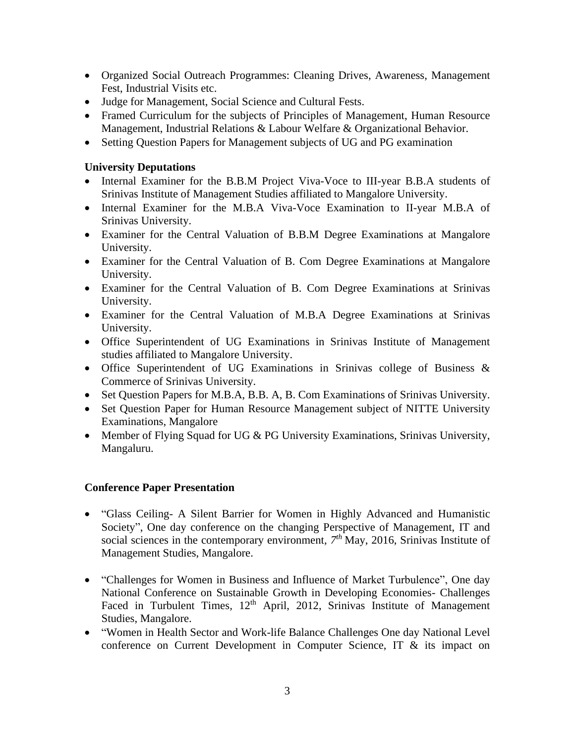- Organized Social Outreach Programmes: Cleaning Drives, Awareness, Management Fest, Industrial Visits etc.
- Judge for Management, Social Science and Cultural Fests.
- Framed Curriculum for the subjects of Principles of Management, Human Resource Management, Industrial Relations & Labour Welfare & Organizational Behavior.
- Setting Question Papers for Management subjects of UG and PG examination

## **University Deputations**

- Internal Examiner for the B.B.M Project Viva-Voce to III-year B.B.A students of Srinivas Institute of Management Studies affiliated to Mangalore University.
- Internal Examiner for the M.B.A Viva-Voce Examination to II-year M.B.A of Srinivas University.
- Examiner for the Central Valuation of B.B.M Degree Examinations at Mangalore University.
- Examiner for the Central Valuation of B. Com Degree Examinations at Mangalore University.
- Examiner for the Central Valuation of B. Com Degree Examinations at Srinivas University.
- Examiner for the Central Valuation of M.B.A Degree Examinations at Srinivas University.
- Office Superintendent of UG Examinations in Srinivas Institute of Management studies affiliated to Mangalore University.
- Office Superintendent of UG Examinations in Srinivas college of Business & Commerce of Srinivas University.
- Set Question Papers for M.B.A, B.B. A, B. Com Examinations of Srinivas University.
- Set Question Paper for Human Resource Management subject of NITTE University Examinations, Mangalore
- Member of Flying Squad for UG & PG University Examinations, Srinivas University, Mangaluru.

## **Conference Paper Presentation**

- "Glass Ceiling- A Silent Barrier for Women in Highly Advanced and Humanistic Society", One day conference on the changing Perspective of Management, IT and social sciences in the contemporary environment,  $7<sup>th</sup>$  May, 2016, Srinivas Institute of Management Studies, Mangalore.
- "Challenges for Women in Business and Influence of Market Turbulence", One day National Conference on Sustainable Growth in Developing Economies- Challenges Faced in Turbulent Times, 12<sup>th</sup> April, 2012, Srinivas Institute of Management Studies, Mangalore.
- "Women in Health Sector and Work-life Balance Challenges One day National Level conference on Current Development in Computer Science, IT & its impact on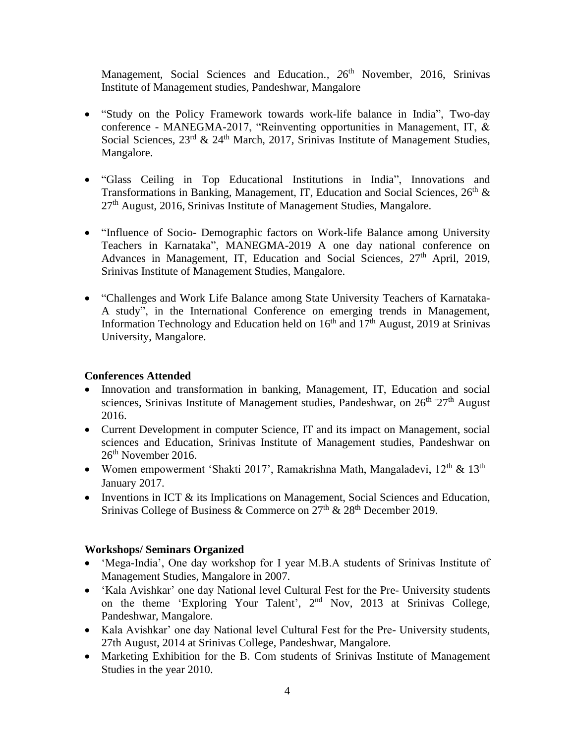Management, Social Sciences and Education., 26<sup>th</sup> November, 2016, Srinivas Institute of Management studies, Pandeshwar, Mangalore

- "Study on the Policy Framework towards work-life balance in India", Two-day conference - MANEGMA-2017, "Reinventing opportunities in Management, IT, & Social Sciences, 23<sup>rd</sup> & 24<sup>th</sup> March, 2017, Srinivas Institute of Management Studies, Mangalore.
- "Glass Ceiling in Top Educational Institutions in India", Innovations and Transformations in Banking, Management, IT, Education and Social Sciences, 26<sup>th</sup> &  $27<sup>th</sup>$  August, 2016, Srinivas Institute of Management Studies, Mangalore.
- "Influence of Socio- Demographic factors on Work-life Balance among University Teachers in Karnataka", MANEGMA-2019 A one day national conference on Advances in Management, IT, Education and Social Sciences, 27<sup>th</sup> April, 2019, Srinivas Institute of Management Studies, Mangalore.
- "Challenges and Work Life Balance among State University Teachers of Karnataka-A study", in the International Conference on emerging trends in Management, Information Technology and Education held on  $16<sup>th</sup>$  and  $17<sup>th</sup>$  August, 2019 at Srinivas University, Mangalore.

## **Conferences Attended**

- Innovation and transformation in banking, Management, IT, Education and social sciences, Srinivas Institute of Management studies, Pandeshwar, on 26<sup>th -</sup>27<sup>th</sup> August 2016.
- Current Development in computer Science, IT and its impact on Management, social sciences and Education, Srinivas Institute of Management studies, Pandeshwar on  $26<sup>th</sup>$  November 2016.
- Women empowerment 'Shakti 2017', Ramakrishna Math, Mangaladevi,  $12<sup>th</sup>$  &  $13<sup>th</sup>$ January 2017.
- Inventions in ICT  $\&$  its Implications on Management, Social Sciences and Education, Srinivas College of Business & Commerce on  $27<sup>th</sup>$  &  $28<sup>th</sup>$  December 2019.

## **Workshops/ Seminars Organized**

- 'Mega-India', One day workshop for I year M.B.A students of Srinivas Institute of Management Studies, Mangalore in 2007.
- 'Kala Avishkar' one day National level Cultural Fest for the Pre- University students on the theme 'Exploring Your Talent', 2<sup>nd</sup> Nov, 2013 at Srinivas College, Pandeshwar, Mangalore.
- Kala Avishkar' one day National level Cultural Fest for the Pre- University students, 27th August, 2014 at Srinivas College, Pandeshwar, Mangalore.
- Marketing Exhibition for the B. Com students of Srinivas Institute of Management Studies in the year 2010.